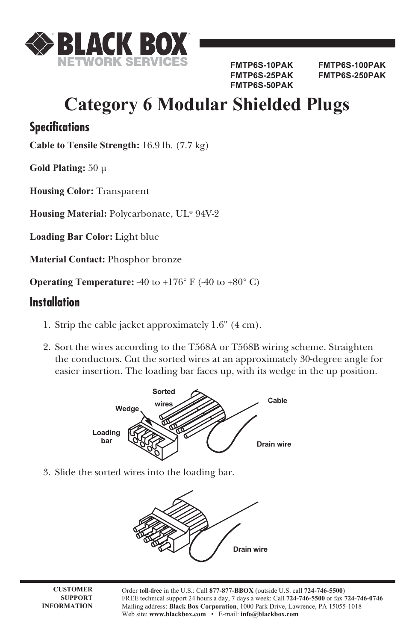

**FMTP6S-50PAK**

**FMTP6S-10PAK FMTP6S-100PAK FMTP6S-25PAK FMTP6S-250PAK** 

## **Category 6 Modular Shielded Plugs**

## **Specifications**

**Cable to Tensile Strength:** 16.9 lb. (7.7 kg)

**Gold Plating:** 50 µ

**Housing Color:** Transparent

**Housing Material:** Polycarbonate, UL® 94V-2

**Loading Bar Color:** Light blue

**Material Contact:** Phosphor bronze

**Operating Temperature:** -40 to  $+176^{\circ}$  F (-40 to  $+80^{\circ}$  C)

## **Installation**

- 1. Strip the cable jacket approximately 1.6" (4 cm).
- 2. Sort the wires according to the T568A or T568B wiring scheme. Straighten the conductors. Cut the sorted wires at an approximately 30-degree angle for easier insertion. The loading bar faces up, with its wedge in the up position.



3. Slide the sorted wires into the loading bar.